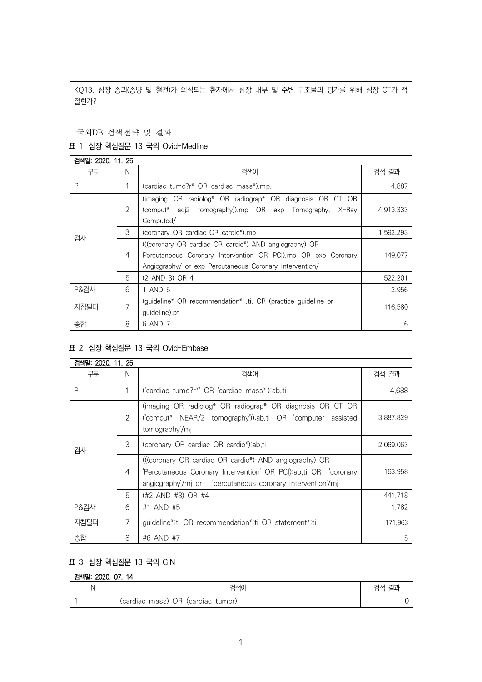KQ13. 심장 종괴(종양 및 혈전)가 의심되는 환자에서 심장 내부 및 주변 구조물의 평가를 위해 심장 CT가 적 절한가?

국외DB 검색전략 및 결과

## 표 1. 심장 핵심질문 13 국외 Ovid-Medline

| 검색일: 2020. 11. 25 |   |                                                                                                                                                                                    |           |
|-------------------|---|------------------------------------------------------------------------------------------------------------------------------------------------------------------------------------|-----------|
| 구분                | N | 검색어                                                                                                                                                                                | 검색 결과     |
| P                 |   | (cardiac tumo?r* OR cardiac mass*).mp.                                                                                                                                             | 4,887     |
| 검사                | 2 | (imaging OR radiolog* OR radiograp* OR diagnosis OR CT OR<br>(comput* adj2 tomography)).mp OR exp Tomography,<br>X-Rav<br>Computed/                                                | 4,913,333 |
|                   | 3 | (coronary OR cardiac OR cardio*).mp                                                                                                                                                | 1,592,293 |
|                   | 4 | (((coronary OR cardiac OR cardio*) AND angiography) OR<br>Percutaneous Coronary Intervention OR PCI).mp OR exp Coronary<br>Angiography/ or exp Percutaneous Coronary Intervention/ | 149,077   |
|                   | 5 | (2 AND 3) OR 4                                                                                                                                                                     | 522,201   |
| <b>P&amp;검사</b>   | 6 | 1 AND 5                                                                                                                                                                            | 2.956     |
| 지침필터              | 7 | (quideline* OR recommendation* ti. OR (practice quideline or<br>quideline).pt                                                                                                      | 116,580   |
| 종합                | 8 | 6 AND 7                                                                                                                                                                            | 6         |

## 표 2. 심장 핵심질문 13 국외 Ovid-Embase

| 검색일: 2020, 11, 25 |   |                                                                                                                                          |           |
|-------------------|---|------------------------------------------------------------------------------------------------------------------------------------------|-----------|
| 구분                | N | 검색어                                                                                                                                      | 검색 결과     |
| P                 | 1 | ('cardiac tumo?r*' OR 'cardiac mass*'):ab.ti                                                                                             | 4,688     |
| 검사                | 2 | (imaging OR radiolog* OR radiograp* OR diagnosis OR CT OR<br>('comput* NEAR/2 tomography')):ab,ti OR 'computer assisted<br>tomography/mj | 3,887,829 |
|                   | 3 | (coronary OR cardiac OR cardio*):ab,ti                                                                                                   | 2,069,063 |
|                   | 4 | (((coronary OR cardiac OR cardio*) AND angiography) OR<br>'Percutaneous Coronary Intervention' OR PCI):ab,ti OR 'coronary                | 163.958   |
|                   | 5 | (#2 AND #3) OR #4                                                                                                                        | 441,718   |
| <b>P&amp;검사</b>   | 6 | #1 AND #5                                                                                                                                | 1,782     |
| 지침필터              | 7 | guideline*:ti OR recommendation*:ti OR statement*:ti                                                                                     | 171.963   |
| 종합                | 8 | #6 AND #7                                                                                                                                | 5         |

## 표 3. 심장 핵심질문 13 국외 GIN

| 검색일: 2020, 07, 14 |                                   |       |  |  |
|-------------------|-----------------------------------|-------|--|--|
|                   | 검색어                               | 검색 결과 |  |  |
|                   | (cardiac mass) OR (cardiac tumor) |       |  |  |